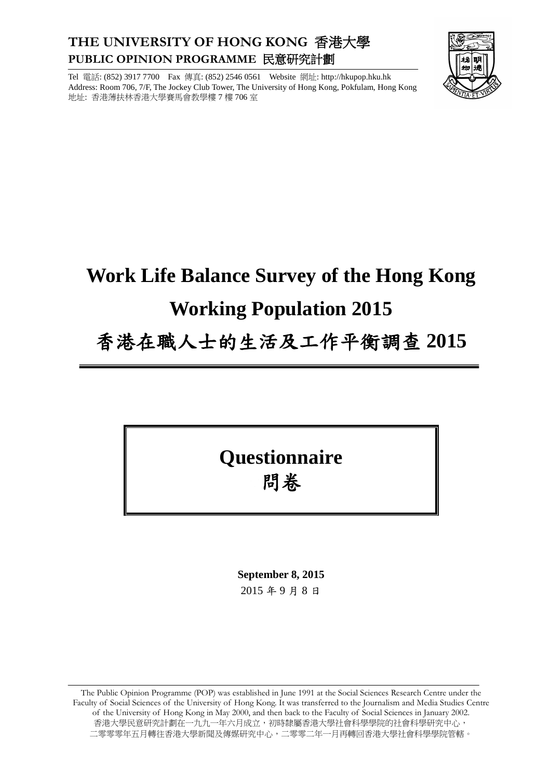### **THE UNIVERSITY OF HONG KONG** 香港大學 **PUBLIC OPINION PROGRAMME** 民意研究計劃

Tel 電話: (852) 3917 7700 Fax 傳真: (852) 2546 0561 Website 網址: http://hkupop.hku.hk Address: Room 706, 7/F, The Jockey Club Tower, The University of Hong Kong, Pokfulam, Hong Kong 地址: 香港薄扶林香港大學賽馬會教學樓 7 樓 706 室



# **Work Life Balance Survey of the Hong Kong Working Population 2015**

### 香港在職人士的生活及工作平衡調查 **2015**

## **Questionnaire** 問卷

**September 8, 2015** 2015 年 9 月 8 日

The Public Opinion Programme (POP) was established in June 1991 at the Social Sciences Research Centre under the Faculty of Social Sciences of the University of Hong Kong. It was transferred to the Journalism and Media Studies Centre of the University of Hong Kong in May 2000, and then back to the Faculty of Social Sciences in January 2002. 香港大學民意研究計劃在一九九一年六月成立,初時隸屬香港大學社會科學學院的社會科學研究中心, 二零零零年五月轉往香港大學新聞及傳媒研究中心,二零零二年一月再轉回香港大學社會科學學院管轄。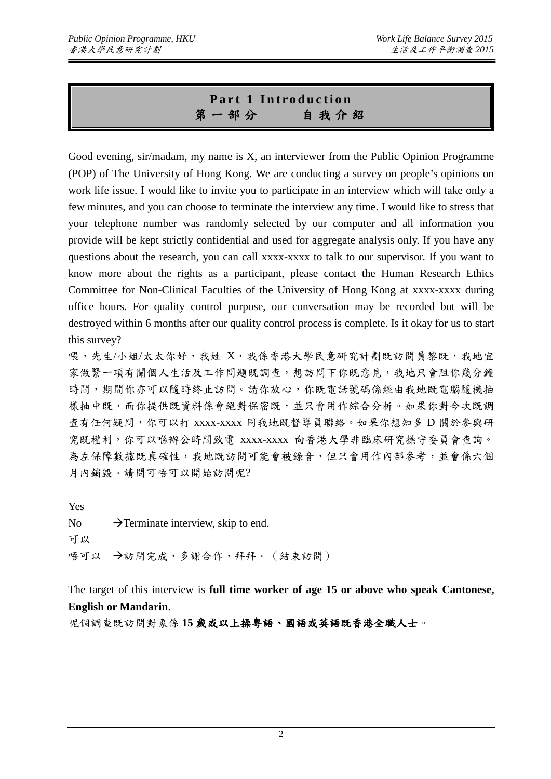#### **Part 1 Introduction** 第一部分自我介紹

Good evening, sir/madam, my name is X, an interviewer from the Public Opinion Programme (POP) of The University of Hong Kong. We are conducting a survey on people's opinions on work life issue. I would like to invite you to participate in an interview which will take only a few minutes, and you can choose to terminate the interview any time. I would like to stress that your telephone number was randomly selected by our computer and all information you provide will be kept strictly confidential and used for aggregate analysis only. If you have any questions about the research, you can call xxxx-xxxx to talk to our supervisor. If you want to know more about the rights as a participant, please contact the Human Research Ethics Committee for Non-Clinical Faculties of the University of Hong Kong at xxxx-xxxx during office hours. For quality control purpose, our conversation may be recorded but will be destroyed within 6 months after our quality control process is complete. Is it okay for us to start this survey?

喂,先生/小姐/太太你好,我姓 X,我係香港大學民意研究計劃既訪問員黎既,我地宜 家做緊一項有關個人生活及工作問題既調查,想訪問下你既意見,我地只會阻你幾分鐘 時間,期間你亦可以隨時終止訪問。請你放心,你既電話號碼係經由我地既電腦隨機抽 樣抽中既,而你提供既資料係會絕對保密既,並只會用作綜合分析。如果你對今次既調 查有任何疑問,你可以打 xxxx-xxxx 同我地既督導員聯絡。如果你想知多 D 關於參與研 究既權利,你可以喺辦公時間致電 xxxx-xxxx 向香港大學非臨床研究操守委員會查詢。 為左保障數據既真確性,我地既訪問可能會被錄音,但只會用作內部參考,並會係六個 月內銷毀。請問可唔可以開始訪問呢?

Yes No  $\rightarrow$  Terminate interview, skip to end. 可以 唔可以 →訪問完成,多謝合作,拜拜。(結束訪問)

The target of this interview is **full time worker of age 15 or above who speak Cantonese, English or Mandarin**.

呢個調查既訪問對象係 **15** 歲或以上操粵語、國語或英語既香港全職人士。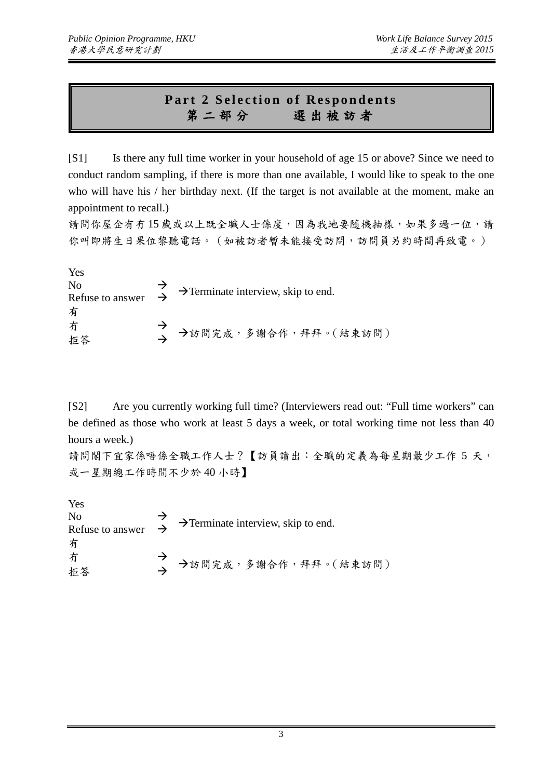#### **Part 2 Selection of Respondents** 第二部分選出被訪者

[S1] Is there any full time worker in your household of age 15 or above? Since we need to conduct random sampling, if there is more than one available, I would like to speak to the one who will have his / her birthday next. (If the target is not available at the moment, make an appointment to recall.)

請問你屋企有冇15歲或以上既全職人士係度,因為我地要隨機抽樣,如果多過一位,請 你叫即將生日果位黎聽電話。(如被訪者暫未能接受訪問,訪問員另約時間再致電。)

Yes No Terminate interview, skip to end. Refuse to answer 有 <sup>冇</sup> 訪問完成,多謝合作,拜拜。(結束訪問) 拒答

[S2] Are you currently working full time? (Interviewers read out: "Full time workers" can be defined as those who work at least 5 days a week, or total working time not less than 40 hours a week.)

請問閣下宜家係唔係全職工作人士?【訪員讀出:全職的定義為每星期最少工作 5 天, 或一星期總工作時間不少於 40 小時】

Yes No  $\rightarrow$   $\rightarrow$  Terminate interview, skip to end.<br>Refuse to answer  $\rightarrow$ 有 方<br>拒答 → →訪問完成,多謝合作,拜拜。(結束訪問)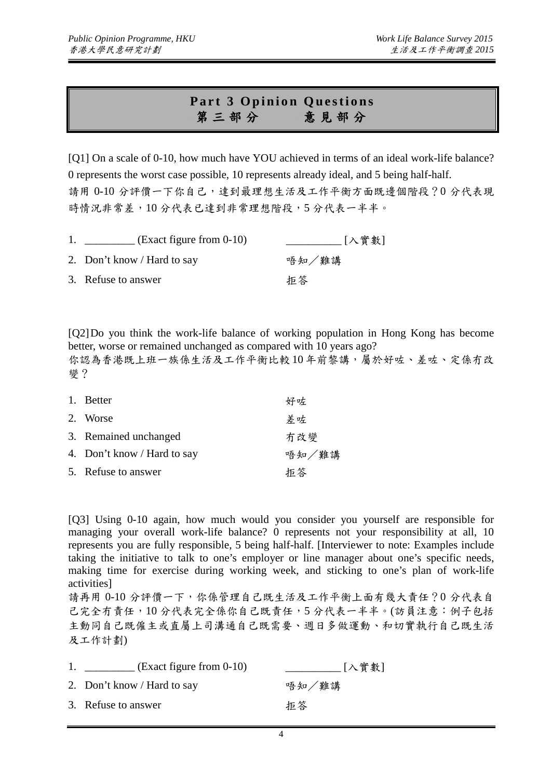#### **Part 3 Opinion Questions** 第三部分意見部分

[Q1] On a scale of 0-10, how much have YOU achieved in terms of an ideal work-life balance? 0 represents the worst case possible, 10 represents already ideal, and 5 being half-half. 請用 0-10 分評價一下你自己,達到最理想生活及工作平衡方面既邊個階段?0 分代表現 時情況非常差,10分代表已達到非常理想階段,5分代表一半半。

| $\text{Exact figure from } 0-10$ | [入實數] |
|----------------------------------|-------|
| 2. Don't know / Hard to say      | 唔知/難講 |
| 3. Refuse to answer              | 拒答    |

[Q2]Do you think the work-life balance of working population in Hong Kong has become better, worse or remained unchanged as compared with 10 years ago? 你認為香港既上班一族係生活及工作平衡比較 10 年前黎講,屬於好咗、差咗、定係冇改 變?

| 1. Better                   | 好咗    |
|-----------------------------|-------|
| 2. Worse                    | 差咗    |
| 3. Remained unchanged       | 冇改變   |
| 4. Don't know / Hard to say | 唔知/難講 |
| 5. Refuse to answer         | 拒答    |

[Q3] Using 0-10 again, how much would you consider you yourself are responsible for managing your overall work-life balance? 0 represents not your responsibility at all, 10 represents you are fully responsible, 5 being half-half. [Interviewer to note: Examples include taking the initiative to talk to one's employer or line manager about one's specific needs, making time for exercise during working week, and sticking to one's plan of work-life activities]

請再用 0-10 分評價一下,你係管理自己既生活及工作平衡上面有幾大責任?0 分代表自 己完全冇責任,10分代表完全係你自己既責任,5分代表一半半。(訪員注意:例子包括 主動同自己既僱主或直屬上司溝通自己既需要、週日多做運動、和切實執行自己既生活 及工作計劃)

| $\text{Exact figure from } 0\n-10$ | [入實數] |
|------------------------------------|-------|
| 2. Don't know / Hard to say        | 唔知/難講 |
| 3. Refuse to answer                | 拒答    |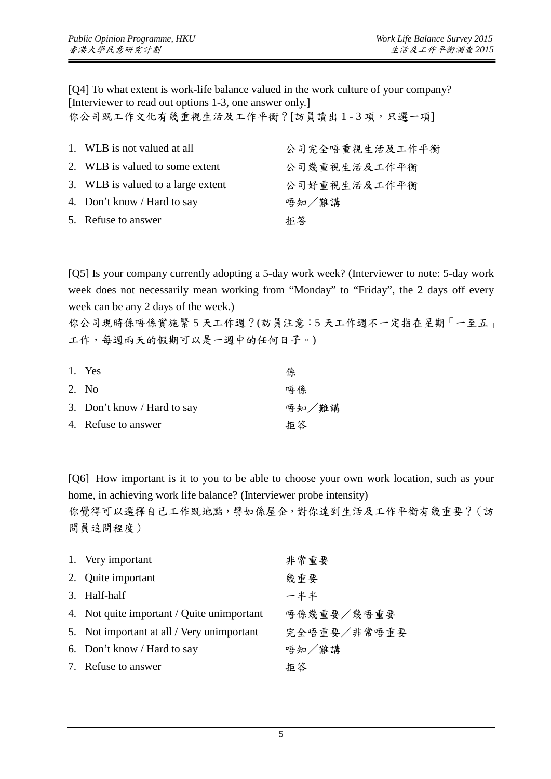[Q4] To what extent is work-life balance valued in the work culture of your company? [Interviewer to read out options 1-3, one answer only.]

你公司既工作文化有幾重視生活及工作平衡?[訪員讀出1-3項,只選一項]

| 1. WLB is not valued at all        | 公司完全唔重視生活及工作平衡 |
|------------------------------------|----------------|
| 2. WLB is valued to some extent    | 公司幾重視生活及工作平衡   |
| 3. WLB is valued to a large extent | 公司好重視生活及工作平衡   |
| 4. Don't know / Hard to say        | 唔知/難講          |
| 5. Refuse to answer                | 拒答             |

[Q5] Is your company currently adopting a 5-day work week? (Interviewer to note: 5-day work week does not necessarily mean working from "Monday" to "Friday", the 2 days off every week can be any 2 days of the week.)

你公司現時係唔係實施緊 5 天工作週?(訪員注意:5 天工作週不一定指在星期「一至五」 工作,每週兩天的假期可以是一週中的任何日子。)

| 1. Yes                      | 係     |
|-----------------------------|-------|
| 2. No                       | 唔係    |
| 3. Don't know / Hard to say | 唔知/難講 |
| 4. Refuse to answer         | 拒答    |

[Q6] How important is it to you to be able to choose your own work location, such as your home, in achieving work life balance? (Interviewer probe intensity)

你覺得可以選擇自己工作既地點,譬如係屋企,對你達到生活及工作平衡有幾重要?(訪 問員追問程度)

| 1. Very important                          | 非常重要        |
|--------------------------------------------|-------------|
| 2. Quite important                         | 幾重要         |
| 3. Half-half                               | 一半半         |
| 4. Not quite important / Quite unimportant | 唔係幾重要/幾唔重要  |
| 5. Not important at all / Very unimportant | 完全唔重要/非常唔重要 |
| 6. Don't know / Hard to say                | 唔知/難講       |
| 7. Refuse to answer                        | 拒答          |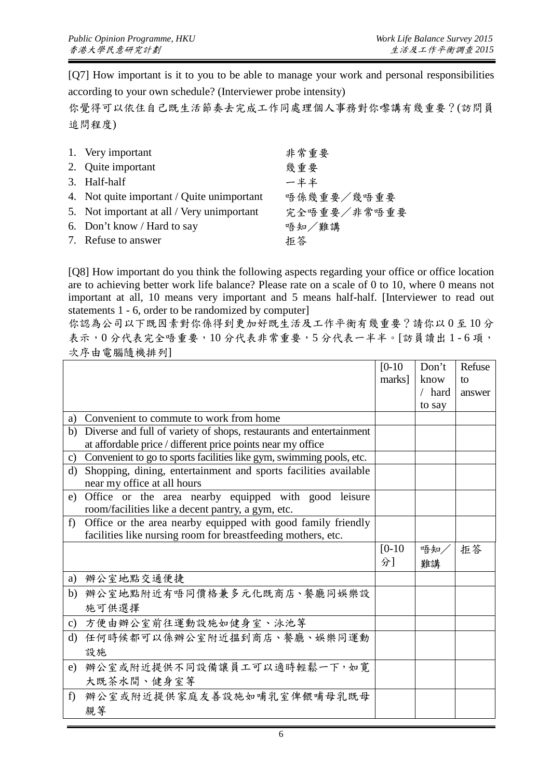[Q7] How important is it to you to be able to manage your work and personal responsibilities according to your own schedule? (Interviewer probe intensity)

你覺得可以依住自己既生活節奏去完成工作同處理個人事務對你嚟講有幾重要?(訪問員 追問程度)

| 1. Very important                          | 非常重要        |
|--------------------------------------------|-------------|
| 2. Quite important                         | 幾重要         |
| 3. Half-half                               | 一半半         |
| 4. Not quite important / Quite unimportant | 唔係幾重要/幾唔重要  |
| 5. Not important at all / Very unimportant | 完全唔重要/非常唔重要 |
| 6. Don't know / Hard to say                | 唔知/難講       |
| 7. Refuse to answer                        | 拒答          |

[Q8] How important do you think the following aspects regarding your office or office location are to achieving better work life balance? Please rate on a scale of 0 to 10, where 0 means not important at all, 10 means very important and 5 means half-half. [Interviewer to read out statements 1 - 6, order to be randomized by computer]

你認為公司以下既因素對你係得到更加好既生活及工作平衡有幾重要?請你以 0 至 10 分 表示,0分代表完全唔重要,10分代表非常重要,5分代表一半半。[訪員讀出1-6項, 次序由電腦隨機排列]

|         |                                                                      | $[0-10]$ | Don't  | Refuse |
|---------|----------------------------------------------------------------------|----------|--------|--------|
|         |                                                                      | marks]   | know   | to     |
|         |                                                                      |          | / hard | answer |
|         |                                                                      |          | to say |        |
| a)      | Convenient to commute to work from home                              |          |        |        |
| b)      | Diverse and full of variety of shops, restaurants and entertainment  |          |        |        |
|         | at affordable price / different price points near my office          |          |        |        |
| c)      | Convenient to go to sports facilities like gym, swimming pools, etc. |          |        |        |
| d)      | Shopping, dining, entertainment and sports facilities available      |          |        |        |
|         | near my office at all hours                                          |          |        |        |
| e)      | Office or the area nearby equipped with good leisure                 |          |        |        |
|         | room/facilities like a decent pantry, a gym, etc.                    |          |        |        |
| f)      | Office or the area nearby equipped with good family friendly         |          |        |        |
|         | facilities like nursing room for breastfeeding mothers, etc.         |          |        |        |
|         |                                                                      | $[0-10]$ | 唔知     | 拒答     |
|         |                                                                      | 分]       | 難講     |        |
|         | a) 辦公室地點交通便捷                                                         |          |        |        |
|         | b) 辦公室地點附近有唔同價格兼多元化既商店、餐廳同娛樂設                                        |          |        |        |
|         | 施可供選擇                                                                |          |        |        |
|         | c) 方便由辦公室前往運動設施如健身室、泳池等                                              |          |        |        |
| $\rm d$ | 任何時候都可以係辦公室附近搵到商店、餐廳、娛樂同運動                                           |          |        |        |
|         | 設施                                                                   |          |        |        |
| e)      | 辦公室或附近提供不同設備讓員工可以適時輕鬆一下,如寬                                           |          |        |        |
|         | 大既茶水間、健身室等                                                           |          |        |        |
| $f$ )   | 辦公室或附近提供家庭友善設施如哺乳室俾餵哺母乳既母                                            |          |        |        |
|         | 親等                                                                   |          |        |        |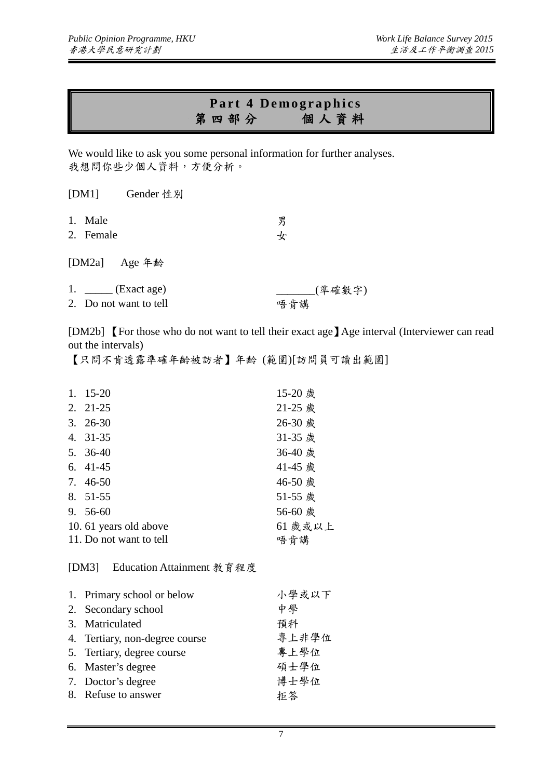#### **Part 4 Demographics** 第四部分個人資料

We would like to ask you some personal information for further analyses. 我想問你些少個人資料,方便分析。

|                                                      | [DM1] Gender 性別 |               |  |
|------------------------------------------------------|-----------------|---------------|--|
| 1. Male<br>2. Female                                 |                 | 男<br>女        |  |
| [DM2a] Age 年齢                                        |                 |               |  |
| 1. $\_\_\_\_\$ (Exact age)<br>2. Do not want to tell |                 | (準確數字)<br>唔肯講 |  |

[DM2b] 【For those who do not want to tell their exact age】Age interval (Interviewer can read out the intervals)

【只問不肯透露準確年齡被訪者】年齡 (範圍)[訪問員可讀出範圍]

| 1. | $15 - 20$                          | 15-20 歲 |
|----|------------------------------------|---------|
|    | $2. \quad 21-25$                   | 21-25 歲 |
|    | $3. \, 26-30$                      | 26-30 歲 |
|    | 4. 31-35                           | 31-35 歲 |
|    | 5. $36-40$                         | 36-40 歲 |
|    | $6.41-45$                          | 41-45 歲 |
|    | 7. 46-50                           | 46-50 歲 |
|    | 8. 51-55                           | 51-55 歲 |
|    | $9.56-60$                          | 56-60 歲 |
|    | 10.61 years old above              | 61 歲或以上 |
|    | 11. Do not want to tell            | 唔肯講     |
|    | Education Attainment 教育程度<br>[DM3] |         |

| 1. Primary school or below     | 小學或以下 |
|--------------------------------|-------|
| 2. Secondary school            | 中學    |
| 3. Matriculated                | 預科    |
| 4. Tertiary, non-degree course | 專上非學位 |
| 5. Tertiary, degree course     | 專上學位  |
| 6. Master's degree             | 碩士學位  |
| 7. Doctor's degree             | 博士學位  |
| 8. Refuse to answer            | 拒答    |
|                                |       |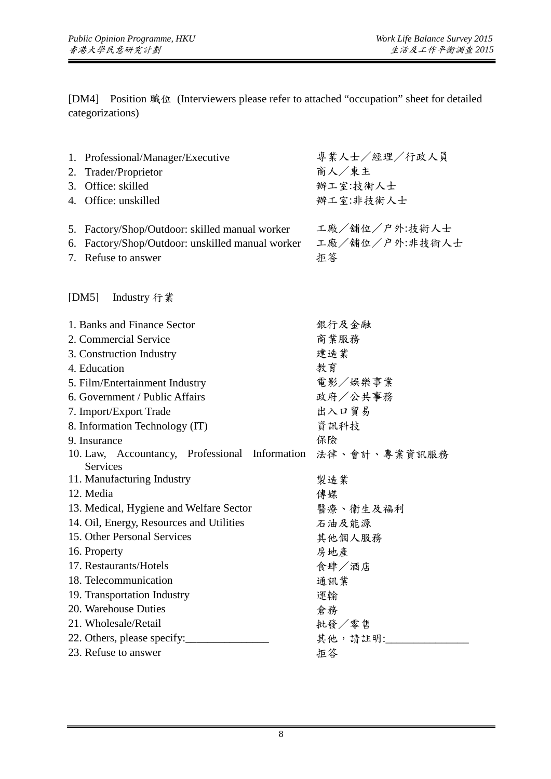[DM4] Position 職位 (Interviewers please refer to attached "occupation" sheet for detailed categorizations)

|                             | 1. Professional/Manager/Executive                                 | 專業人士/經理/行政人員   |
|-----------------------------|-------------------------------------------------------------------|----------------|
| 2.                          | Trader/Proprietor                                                 | 商人/東主          |
|                             | 3. Office: skilled                                                | 辦工室:技術人士       |
|                             | 4. Office: unskilled                                              | 辦工室:非技術人士      |
|                             | 5. Factory/Shop/Outdoor: skilled manual worker                    | 工廠/舖位/户外:技術人士  |
|                             | 6. Factory/Shop/Outdoor: unskilled manual worker                  | 工廠/舖位/户外:非技術人士 |
|                             | 7. Refuse to answer                                               | 拒答             |
|                             | [DM5] Industry 行業                                                 |                |
|                             | 1. Banks and Finance Sector                                       | 銀行及金融          |
|                             | 2. Commercial Service                                             | 商業服務           |
|                             | 3. Construction Industry                                          | 建造業            |
|                             | 4. Education                                                      | 教育             |
|                             | 5. Film/Entertainment Industry                                    | 電影/娱樂事業        |
|                             | 6. Government / Public Affairs                                    | 政府/公共事務        |
|                             | 7. Import/Export Trade                                            | 出入口貿易          |
|                             | 8. Information Technology (IT)                                    | 資訊科技           |
|                             | 9. Insurance                                                      | 保險             |
|                             | 10. Law, Accountancy, Professional Information<br><b>Services</b> | 法律、會計、專業資訊服務   |
|                             | 11. Manufacturing Industry                                        | 製造業            |
|                             | 12. Media                                                         | 傳媒             |
|                             | 13. Medical, Hygiene and Welfare Sector                           | 醫療、衞生及福利       |
|                             | 14. Oil, Energy, Resources and Utilities                          | 石油及能源          |
|                             | 15. Other Personal Services                                       | 其他個人服務         |
|                             | 16. Property                                                      | 房地產            |
|                             | 17. Restaurants/Hotels                                            | 食肆/酒店          |
|                             | 18. Telecommunication                                             | 通訊業            |
|                             | 19. Transportation Industry                                       | 運輸             |
|                             | 20. Warehouse Duties                                              | 倉務             |
|                             | 21. Wholesale/Retail                                              | 批發/零售          |
| 22. Others, please specify: |                                                                   | 其他,請註明:        |
|                             | 23. Refuse to answer                                              | 拒答             |